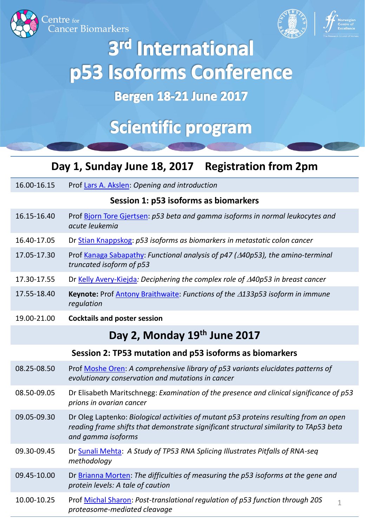



# 3rd International p53 Isoforms Conference

## **Bergen 18-21 June 2017**

## **Scientific program**

### **Day 1, Sunday June 18, 2017 Registration from 2pm**

| 16.00-16.15 | Prof Lars A. Akslen: Opening and introduction                                                                          |
|-------------|------------------------------------------------------------------------------------------------------------------------|
|             | Session 1: p53 isoforms as biomarkers                                                                                  |
| 16.15-16.40 | Prof Bjorn Tore Gjertsen: p53 beta and gamma isoforms in normal leukocytes and<br>acute leukemia                       |
| 16.40-17.05 | Dr Stian Knappskog: p53 isoforms as biomarkers in metastatic colon cancer                                              |
| 17.05-17.30 | Prof Kanaga Sabapathy: Functional analysis of p47 ( $\triangle$ 40p53), the amino-terminal<br>truncated isoform of p53 |
| 17.30-17.55 | Dr Kelly Avery-Kiejda: Deciphering the complex role of $\triangle$ 40p53 in breast cancer                              |
| 17.55-18.40 | <b>Keynote:</b> Prof Antony Braithwaite: Functions of the $\triangle 133p53$ isoform in immune<br>regulation           |
| 19.00-21.00 | <b>Cocktails and poster session</b>                                                                                    |
|             | Day 2 Monday 10th lung 2017                                                                                            |

## **Day 2, Monday 19th June 2017**

#### **Session 2: TP53 mutation and p53 isoforms as biomarkers**

| 08.25-08.50 | Prof Moshe Oren: A comprehensive library of p53 variants elucidates patterns of<br>evolutionary conservation and mutations in cancer                                                                 |
|-------------|------------------------------------------------------------------------------------------------------------------------------------------------------------------------------------------------------|
| 08.50-09.05 | Dr Elisabeth Maritschnegg: Examination of the presence and clinical significance of p53<br>prions in ovarian cancer                                                                                  |
| 09.05-09.30 | Dr Oleg Laptenko: Biological activities of mutant p53 proteins resulting from an open<br>reading frame shifts that demonstrate significant structural similarity to TAp53 beta<br>and gamma isoforms |
| 09.30-09.45 | Dr Sunali Mehta: A Study of TP53 RNA Splicing Illustrates Pitfalls of RNA-seq<br>methodology                                                                                                         |
| 09.45-10.00 | Dr Brianna Morten: The difficulties of measuring the p53 isoforms at the gene and<br>protein levels: A tale of caution                                                                               |
| 10.00-10.25 | Prof Michal Sharon: Post-translational regulation of p53 function through 20S<br>1<br>proteasome-mediated cleavage                                                                                   |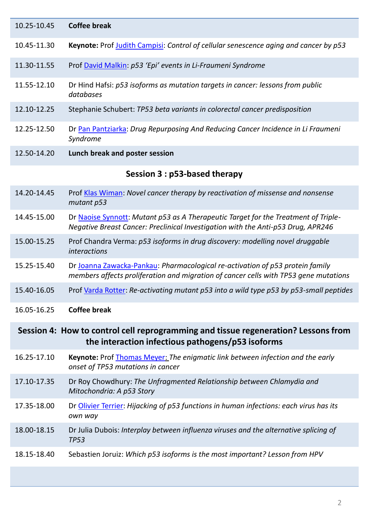| 10.25-10.45                                                                                                                             | <b>Coffee break</b>                                                                                                                                                    |
|-----------------------------------------------------------------------------------------------------------------------------------------|------------------------------------------------------------------------------------------------------------------------------------------------------------------------|
| 10.45-11.30                                                                                                                             | <b>Keynote:</b> Prof Judith Campisi: Control of cellular senescence aging and cancer by p53                                                                            |
| 11.30-11.55                                                                                                                             | Prof David Malkin: p53 'Epi' events in Li-Fraumeni Syndrome                                                                                                            |
| 11.55-12.10                                                                                                                             | Dr Hind Hafsi: p53 isoforms as mutation targets in cancer: lessons from public<br>databases                                                                            |
| 12.10-12.25                                                                                                                             | Stephanie Schubert: TP53 beta variants in colorectal cancer predisposition                                                                                             |
| 12.25-12.50                                                                                                                             | Dr Pan Pantziarka: Drug Repurposing And Reducing Cancer Incidence in Li Fraumeni<br>Syndrome                                                                           |
| 12.50-14.20                                                                                                                             | Lunch break and poster session                                                                                                                                         |
|                                                                                                                                         | Session 3 : p53-based therapy                                                                                                                                          |
| 14.20-14.45                                                                                                                             | Prof Klas Wiman: Novel cancer therapy by reactivation of missense and nonsense<br>mutant p53                                                                           |
| 14.45-15.00                                                                                                                             | Dr Naoise Synnott: Mutant p53 as A Therapeutic Target for the Treatment of Triple-<br>Negative Breast Cancer: Preclinical Investigation with the Anti-p53 Drug, APR246 |
| 15.00-15.25                                                                                                                             | Prof Chandra Verma: p53 isoforms in drug discovery: modelling novel druggable<br><i>interactions</i>                                                                   |
| 15.25-15.40                                                                                                                             | Dr Joanna Zawacka-Pankau: Pharmacological re-activation of p53 protein family<br>members affects proliferation and migration of cancer cells with TP53 gene mutations  |
| 15.40-16.05                                                                                                                             | Prof Varda Rotter: Re-activating mutant p53 into a wild type p53 by p53-small peptides                                                                                 |
| 16.05-16.25                                                                                                                             | <b>Coffee break</b>                                                                                                                                                    |
| Session 4: How to control cell reprogramming and tissue regeneration? Lessons from<br>the interaction infectious pathogens/p53 isoforms |                                                                                                                                                                        |
| 16.25-17.10                                                                                                                             | Keynote: Prof Thomas Meyer: The enigmatic link between infection and the early<br>onset of TP53 mutations in cancer                                                    |
| 17.10-17.35                                                                                                                             | Dr Roy Chowdhury: The Unfragmented Relationship between Chlamydia and<br>Mitochondria: A p53 Story                                                                     |
| 17.35-18.00                                                                                                                             | Dr Olivier Terrier: Hijacking of p53 functions in human infections: each virus has its<br>own way                                                                      |
| 18.00-18.15                                                                                                                             | Dr Julia Dubois: Interplay between influenza viruses and the alternative splicing of<br><b>TP53</b>                                                                    |
| 18.15-18.40                                                                                                                             | Sebastien Joruiz: Which p53 isoforms is the most important? Lesson from HPV                                                                                            |
|                                                                                                                                         |                                                                                                                                                                        |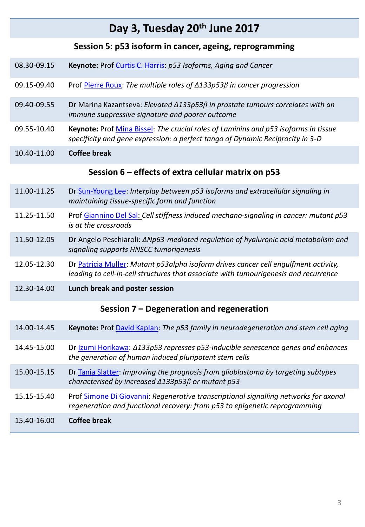### **Day 3, Tuesday 20th June 2017**

#### **Session 5: p53 isoform in cancer, ageing, reprogramming**

| 08.30-09.15 | Keynote: Prof Curtis C. Harris: p53 Isoforms, Aging and Cancer |
|-------------|----------------------------------------------------------------|
|             |                                                                |

- 09.15-09.40 Prof [Pierre Roux](http://www.crbm.cnrs.fr/index.php/en/pierre-roux-uk): *The multiple roles of Δ133p53β in cancer progression*
- 09.40-09.55 Dr Marina Kazantseva: *Elevated Δ133p53β in prostate tumours correlates with an immune suppressive signature and poorer outcome*
- 09.55-10.40 **Keynote:** Prof [Mina Bissel](http://www2.lbl.gov/LBL-Programs/lifesciences/BissellLab/main.html): *The crucial roles of Laminins and p53 isoforms in tissue specificity and gene expression: a perfect tango of Dynamic Reciprocity in 3-D*
- 10.40-11.00 **Coffee break**

#### **Session 6 – effects of extra cellular matrix on p53**

- 11.00-11.25 Dr [Sun-Young Lee:](http://biosciences.lbl.gov/profiles/sun-young-lee/) *Interplay between p53 isoforms and extracellular signaling in maintaining tissue-specific form and function*
- 11.25-11.50 Prof [Giannino](http://phdjumbo.sissa.it/faculty/prof-giannino-del-sal) [Del Sal](http://phdjumbo.sissa.it/faculty/prof-giannino-del-sal): *Cell stiffness induced mechano-signaling in cancer: mutant p53 is at the crossroads*
- 11.50-12.05 Dr Angelo Peschiaroli: *ΔNp63-mediated regulation of hyaluronic acid metabolism and signaling supports HNSCC tumorigenesis*
- 12.05-12.30 Dr [Patricia Muller](http://tox.mrc.ac.uk/staff/patricia-muller/): *Mutant p53alpha isoform drives cancer cell engulfment activity, leading to cell-in-cell structures that associate with tumourigenesis and recurrence*
- 12.30-14.00 **Lunch break and poster session**

#### **Session 7 – Degeneration and regeneration**

| 14.00-14.45 | <b>Keynote:</b> Prof David Kaplan: The p53 family in neurodegeneration and stem cell aging                                                                         |
|-------------|--------------------------------------------------------------------------------------------------------------------------------------------------------------------|
| 14.45-15.00 | Dr Izumi Horikawa: Δ133p53 represses p53-inducible senescence genes and enhances<br>the generation of human induced pluripotent stem cells                         |
| 15.00-15.15 | Dr Tania Slatter: Improving the prognosis from glioblastoma by targeting subtypes<br>characterised by increased $\triangle 133p53\beta$ or mutant p53              |
| 15.15-15.40 | Prof Simone Di Giovanni: Regenerative transcriptional signalling networks for axonal<br>regeneration and functional recovery: from p53 to epigenetic reprogramming |
| 15.40-16.00 | Coffee break                                                                                                                                                       |